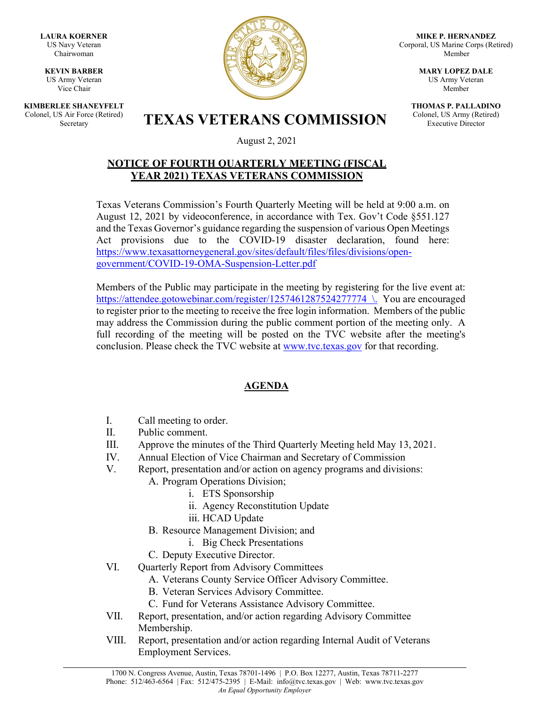**LAURA KOERNER** US Navy Veteran Chairwoman

**KEVIN BARBER** US Army Veteran Vice Chair

**KIMBERLEE SHANEYFELT** Colonel, US Air Force (Retired)



**MIKE P. HERNANDEZ** Corporal, US Marine Corps (Retired) Member

> **MARY LOPEZ DALE** US Army Veteran Member

**THOMAS P. PALLADINO** Colonel, US Army (Retired) Executive Director

S Air Force (Retired) **TEXAS VETERANS COMMISSION** 

August 2, 2021

## **NOTICE OF FOURTH QUARTERLY MEETING (FISCAL YEAR 2021) TEXAS VETERANS COMMISSION**

Texas Veterans Commission's Fourth Quarterly Meeting will be held at 9:00 a.m. on August 12, 2021 by videoconference, in accordance with Tex. Gov't Code §551.127 and the Texas Governor's guidance regarding the suspension of various Open Meetings Act provisions due to the COVID-19 disaster declaration, found here: [https://www.texasattorneygeneral.gov/sites/default/files/files/divisions/open](https://www.texasattorneygeneral.gov/sites/default/files/files/divisions/open-government/COVID-19-OMA-Suspension-Letter.pdf)[government/COVID-19-OMA-Suspension-Letter.pdf](https://www.texasattorneygeneral.gov/sites/default/files/files/divisions/open-government/COVID-19-OMA-Suspension-Letter.pdf)

Members of the Public may participate in the meeting by registering for the live event at: <https://attendee.gotowebinar.com/register/1257461287524277774>\. You are encouraged to register prior to the meeting to receive the free login information. Members of the public may address the Commission during the public comment portion of the meeting only. A full recording of the meeting will be posted on the TVC website after the meeting's conclusion. Please check the TVC website at [www.tvc.texas.gov](http://www.tvc.texas.gov/) for that recording.

## **AGENDA**

- I. Call meeting to order.
- II. Public comment.
- III. Approve the minutes of the Third Quarterly Meeting held May 13, 2021.
- IV. Annual Election of Vice Chairman and Secretary of Commission
- V. Report, presentation and/or action on agency programs and divisions:
	- A. Program Operations Division;
		- i. ETS Sponsorship
		- ii. Agency Reconstitution Update
		- iii. HCAD Update
	- B. Resource Management Division; and
		- i. Big Check Presentations
	- C. Deputy Executive Director.
- VI. Quarterly Report from Advisory Committees
	- A. Veterans County Service Officer Advisory Committee.
	- B. Veteran Services Advisory Committee.
	- C. Fund for Veterans Assistance Advisory Committee.
- VII. Report, presentation, and/or action regarding Advisory Committee Membership.
- VIII. Report, presentation and/or action regarding Internal Audit of Veterans Employment Services.